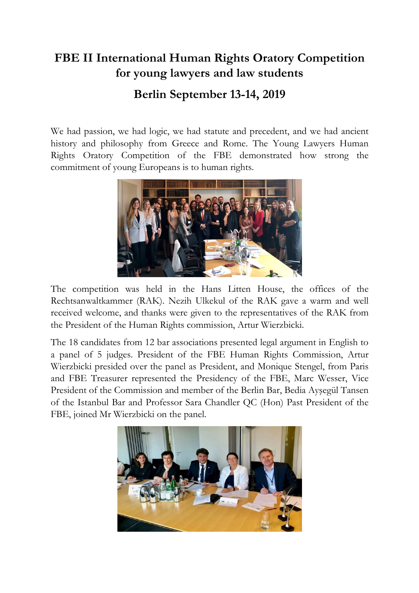## **FBE II International Human Rights Oratory Competition for young lawyers and law students Berlin September 13-14, 2019**

We had passion, we had logic, we had statute and precedent, and we had ancient history and philosophy from Greece and Rome. The Young Lawyers Human Rights Oratory Competition of the FBE demonstrated how strong the commitment of young Europeans is to human rights.



The competition was held in the Hans Litten House, the offices of the Rechtsanwaltkammer (RAK). Nezih Ulkekul of the RAK gave a warm and well received welcome, and thanks were given to the representatives of the RAK from the President of the Human Rights commission, Artur Wierzbicki.

The 18 candidates from 12 bar associations presented legal argument in English to a panel of 5 judges. President of the FBE Human Rights Commission, Artur Wierzbicki presided over the panel as President, and Monique Stengel, from Paris and FBE Treasurer represented the Presidency of the FBE, Marc Wesser, Vice President of the Commission and member of the Berlin Bar, Bedia Ayşegül Tansen of the Istanbul Bar and Professor Sara Chandler QC (Hon) Past President of the FBE, joined Mr Wierzbicki on the panel.

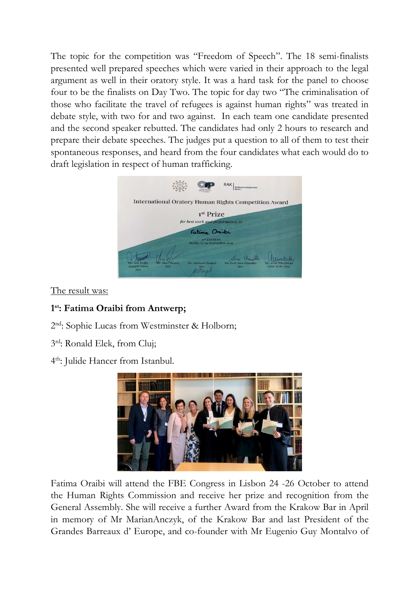The topic for the competition was "Freedom of Speech". The 18 semi-finalists presented well prepared speeches which were varied in their approach to the legal argument as well in their oratory style. It was a hard task for the panel to choose four to be the finalists on Day Two. The topic for day two "The criminalisation of those who facilitate the travel of refugees is against human rights" was treated in debate style, with two for and two against. In each team one candidate presented and the second speaker rebutted. The candidates had only 2 hours to research and prepare their debate speeches. The judges put a question to all of them to test their spontaneous responses, and heard from the four candidates what each would do to draft legislation in respect of human trafficking.



The result was:

## **1 st: Fatima Oraibi from Antwerp;**

2 nd: Sophie Lucas from Westminster & Holborn;

3 rd: Ronald Elek, from Cluj;

4 th: Julide Hancer from Istanbul.



Fatima Oraibi will attend the FBE Congress in Lisbon 24 -26 October to attend the Human Rights Commission and receive her prize and recognition from the General Assembly. She will receive a further Award from the Krakow Bar in April in memory of Mr MarianAnczyk, of the Krakow Bar and last President of the Grandes Barreaux d' Europe, and co-founder with Mr Eugenio Guy Montalvo of